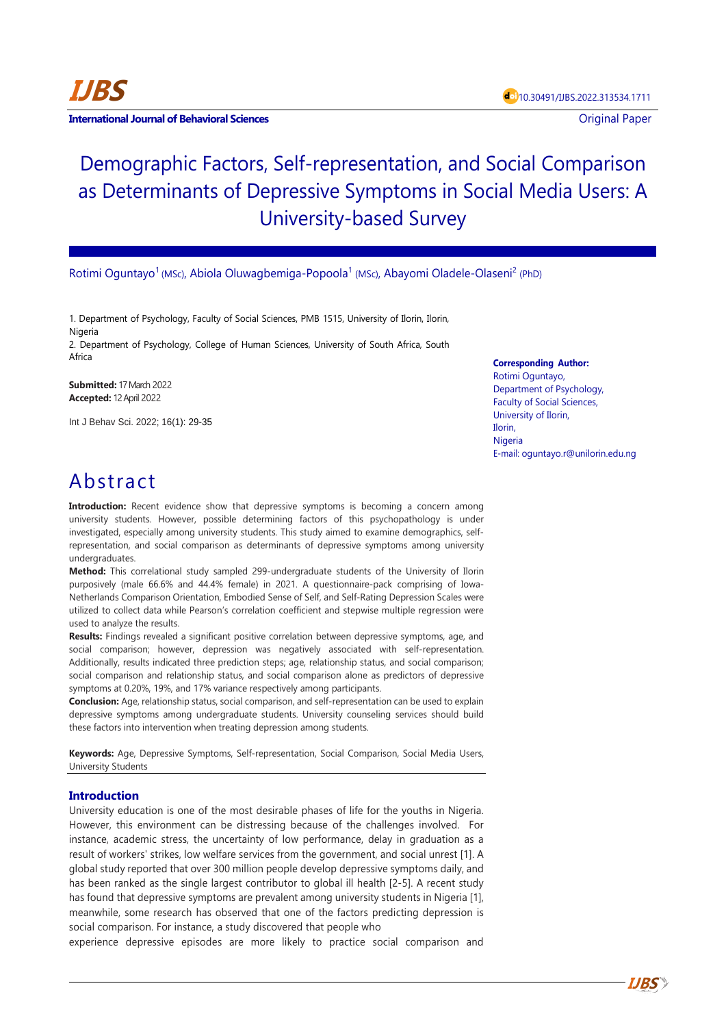

**International Journal of Behavioral Sciences Contract Contract Contract Contract Contract Contract Contract Contract Contract Contract Contract Contract Contract Contract Contract Contract Contract Contract Contract Con** 

# Demographic Factors, Self-representation, and Social Comparison as Determinants of Depressive Symptoms in Social Media Users: A University-based Survey

Rotimi Oguntayo<sup>1</sup> (MSc), Abiola Oluwagbemiga-Popoola<sup>1</sup> (MSc), Abayomi Oladele-Olaseni<sup>2</sup> (PhD)

1. Department of Psychology, Faculty of Social Sciences, PMB 1515, University of Ilorin, Ilorin, Nigeria

2. Department of Psychology, College of Human Sciences, University of South Africa, South Africa

**Submitted:** 17 March 2022 **Accepted:** 12 April 2022

Int J Behav Sci. 2022; 16(1): 29-35

**Corresponding Author:** Rotimi Oguntayo, Department of Psychology, Faculty of Social Sciences, University of Ilorin, Ilorin, Nigeria E-mail: [oguntayo.r@unilorin.edu.ng](mailto:oguntayo.r@unilorin.edu.ng)

# Abstract

**Introduction:** Recent evidence show that depressive symptoms is becoming a concern among university students. However, possible determining factors of this psychopathology is under investigated, especially among university students. This study aimed to examine demographics, selfrepresentation, and social comparison as determinants of depressive symptoms among university undergraduates.

**Method:** This correlational study sampled 299-undergraduate students of the University of Ilorin purposively (male 66.6% and 44.4% female) in 2021. A questionnaire-pack comprising of Iowa-Netherlands Comparison Orientation, Embodied Sense of Self, and Self-Rating Depression Scales were utilized to collect data while Pearson's correlation coefficient and stepwise multiple regression were used to analyze the results.

**Results:** Findings revealed a significant positive correlation between depressive symptoms, age, and social comparison; however, depression was negatively associated with self-representation. Additionally, results indicated three prediction steps; age, relationship status, and social comparison; social comparison and relationship status, and social comparison alone as predictors of depressive symptoms at 0.20%, 19%, and 17% variance respectively among participants.

**Conclusion:** Age, relationship status, social comparison, and self-representation can be used to explain depressive symptoms among undergraduate students. University counseling services should build these factors into intervention when treating depression among students.

**Keywords:** Age, Depressive Symptoms, Self-representation, Social Comparison, Social Media Users, University Students

# **Introduction**

University education is one of the most desirable phases of life for the youths in Nigeria. However, this environment can be distressing because of the challenges involved. For instance, academic stress, the uncertainty of low performance, delay in graduation as a result of workers' strikes, low welfare services from the government, and social unrest [1]. A global study reported that over 300 million people develop depressive symptoms daily, and has been ranked as the single largest contributor to global ill health [2-5]. A recent study has found that depressive symptoms are prevalent among university students in Nigeria [1], meanwhile, some research has observed that one of the factors predicting depression is social comparison. For instance, a study discovered that people who

experience depressive episodes are more likely to practice social comparison and

**IJBS**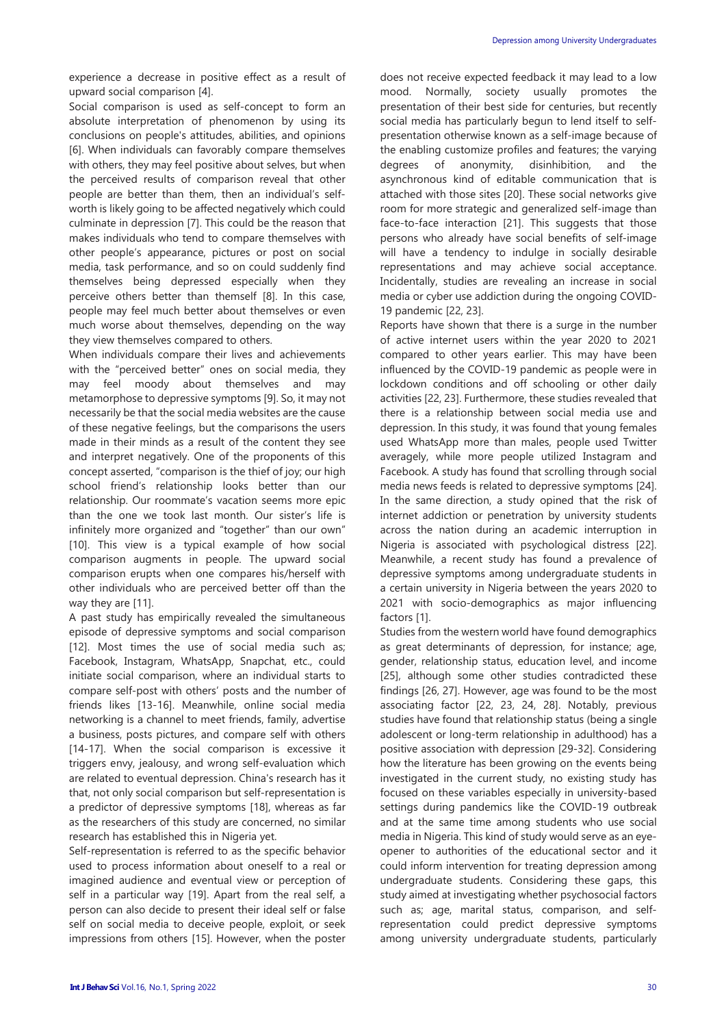experience a decrease in positive effect as a result of upward social comparison [4].

Social comparison is used as self-concept to form an absolute interpretation of phenomenon by using its conclusions on people's attitudes, abilities, and opinions [6]. When individuals can favorably compare themselves with others, they may feel positive about selves, but when the perceived results of comparison reveal that other people are better than them, then an individual's selfworth is likely going to be affected negatively which could culminate in depression [7]. This could be the reason that makes individuals who tend to compare themselves with other people's appearance, pictures or post on social media, task performance, and so on could suddenly find themselves being depressed especially when they perceive others better than themself [8]. In this case, people may feel much better about themselves or even much worse about themselves, depending on the way they view themselves compared to others.

When individuals compare their lives and achievements with the "perceived better" ones on social media, they may feel moody about themselves and may metamorphose to depressive symptoms [9]. So, it may not necessarily be that the social media websites are the cause of these negative feelings, but the comparisons the users made in their minds as a result of the content they see and interpret negatively. One of the proponents of this concept asserted, "comparison is the thief of joy; our high school friend's relationship looks better than our relationship. Our roommate's vacation seems more epic than the one we took last month. Our sister's life is infinitely more organized and "together" than our own" [10]. This view is a typical example of how social comparison augments in people. The upward social comparison erupts when one compares his/herself with other individuals who are perceived better off than the way they are [11].

A past study has empirically revealed the simultaneous episode of depressive symptoms and social comparison [12]. Most times the use of social media such as; Facebook, Instagram, WhatsApp, Snapchat, etc., could initiate social comparison, where an individual starts to compare self-post with others' posts and the number of friends likes [13-16]. Meanwhile, online social media networking is a channel to meet friends, family, advertise a business, posts pictures, and compare self with others [14-17]. When the social comparison is excessive it triggers envy, jealousy, and wrong self-evaluation which are related to eventual depression. China's research has it that, not only social comparison but self-representation is a predictor of depressive symptoms [18], whereas as far as the researchers of this study are concerned, no similar research has established this in Nigeria yet.

Self-representation is referred to as the specific behavior used to process information about oneself to a real or imagined audience and eventual view or perception of self in a particular way [19]. Apart from the real self, a person can also decide to present their ideal self or false self on social media to deceive people, exploit, or seek impressions from others [15]. However, when the poster does not receive expected feedback it may lead to a low mood. Normally, society usually promotes the presentation of their best side for centuries, but recently social media has particularly begun to lend itself to selfpresentation otherwise known as a self-image because of the enabling customize profiles and features; the varying degrees of anonymity, disinhibition, and the asynchronous kind of editable communication that is attached with those sites [20]. These social networks give room for more strategic and generalized self-image than face-to-face interaction [21]. This suggests that those persons who already have social benefits of self-image will have a tendency to indulge in socially desirable representations and may achieve social acceptance. Incidentally, studies are revealing an increase in social media or cyber use addiction during the ongoing COVID-19 pandemic [22, 23].

Reports have shown that there is a surge in the number of active internet users within the year 2020 to 2021 compared to other years earlier. This may have been influenced by the COVID-19 pandemic as people were in lockdown conditions and off schooling or other daily activities [22, 23]. Furthermore, these studies revealed that there is a relationship between social media use and depression. In this study, it was found that young females used WhatsApp more than males, people used Twitter averagely, while more people utilized Instagram and Facebook. A study has found that scrolling through social media news feeds is related to depressive symptoms [24]. In the same direction, a study opined that the risk of internet addiction or penetration by university students across the nation during an academic interruption in Nigeria is associated with psychological distress [22]. Meanwhile, a recent study has found a prevalence of depressive symptoms among undergraduate students in a certain university in Nigeria between the years 2020 to 2021 with socio-demographics as major influencing factors [1].

Studies from the western world have found demographics as great determinants of depression, for instance; age, gender, relationship status, education level, and income [25], although some other studies contradicted these findings [26, 27]. However, age was found to be the most associating factor [22, 23, 24, 28]. Notably, previous studies have found that relationship status (being a single adolescent or long-term relationship in adulthood) has a positive association with depression [29-32]. Considering how the literature has been growing on the events being investigated in the current study, no existing study has focused on these variables especially in university-based settings during pandemics like the COVID-19 outbreak and at the same time among students who use social media in Nigeria. This kind of study would serve as an eyeopener to authorities of the educational sector and it could inform intervention for treating depression among undergraduate students. Considering these gaps, this study aimed at investigating whether psychosocial factors such as; age, marital status, comparison, and selfrepresentation could predict depressive symptoms among university undergraduate students, particularly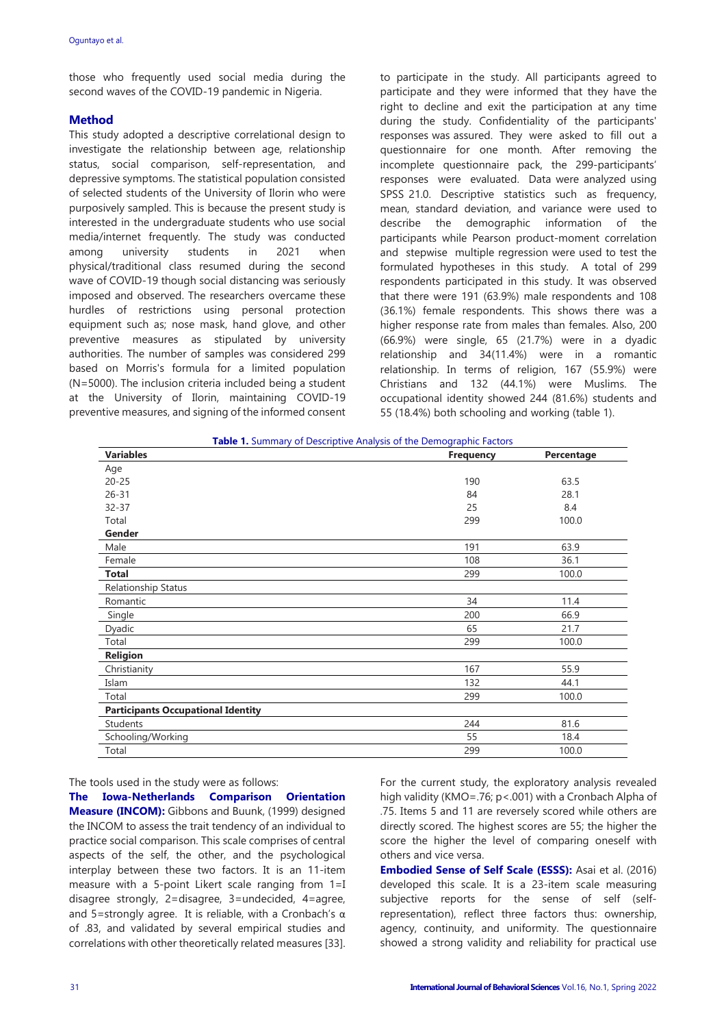those who frequently used social media during the second waves of the COVID-19 pandemic in Nigeria.

# **Method**

This study adopted a descriptive correlational design to investigate the relationship between age, relationship status, social comparison, self-representation, and depressive symptoms. The statistical population consisted of selected students of the University of Ilorin who were purposively sampled. This is because the present study is interested in the undergraduate students who use social media/internet frequently. The study was conducted among university students in 2021 when physical/traditional class resumed during the second wave of COVID-19 though social distancing was seriously imposed and observed. The researchers overcame these hurdles of restrictions using personal protection equipment such as; nose mask, hand glove, and other preventive measures as stipulated by university authorities. The number of samples was considered 299 based on Morris's formula for a limited population (N=5000). The inclusion criteria included being a student at the University of Ilorin, maintaining COVID-19 preventive measures, and signing of the informed consent to participate in the study. All participants agreed to participate and they were informed that they have the right to decline and exit the participation at any time during the study. Confidentiality of the participants' responses was assured. They were asked to fill out a questionnaire for one month. After removing the incomplete questionnaire pack, the 299-participants' responses were evaluated. Data were analyzed using SPSS 21.0. Descriptive statistics such as frequency, mean, standard deviation, and variance were used to describe the demographic information of the participants while Pearson product-moment correlation and stepwise multiple regression were used to test the formulated hypotheses in this study. A total of 299 respondents participated in this study. It was observed that there were 191 (63.9%) male respondents and 108 (36.1%) female respondents. This shows there was a higher response rate from males than females. Also, 200 (66.9%) were single, 65 (21.7%) were in a dyadic relationship and 34(11.4%) were in a romantic relationship. In terms of religion, 167 (55.9%) were Christians and 132 (44.1%) were Muslims. The occupational identity showed 244 (81.6%) students and 55 (18.4%) both schooling and working (table 1).

| Table 1. Summary of Descriptive Analysis of the Demographic Factors |                  |            |  |  |  |
|---------------------------------------------------------------------|------------------|------------|--|--|--|
| <b>Variables</b>                                                    | <b>Frequency</b> | Percentage |  |  |  |
| Age                                                                 |                  |            |  |  |  |
| $20 - 25$                                                           | 190              | 63.5       |  |  |  |
| $26 - 31$                                                           | 84               | 28.1       |  |  |  |
| $32 - 37$                                                           | 25               | 8.4        |  |  |  |
| Total                                                               | 299              | 100.0      |  |  |  |
| Gender                                                              |                  |            |  |  |  |
| Male                                                                | 191              | 63.9       |  |  |  |
| Female                                                              | 108              | 36.1       |  |  |  |
| Total                                                               | 299              | 100.0      |  |  |  |
| Relationship Status                                                 |                  |            |  |  |  |
| Romantic                                                            | 34               | 11.4       |  |  |  |
| Single                                                              | 200              | 66.9       |  |  |  |
| Dyadic                                                              | 65               | 21.7       |  |  |  |
| Total                                                               | 299              | 100.0      |  |  |  |
| <b>Religion</b>                                                     |                  |            |  |  |  |
| Christianity                                                        | 167              | 55.9       |  |  |  |
| Islam                                                               | 132              | 44.1       |  |  |  |
| Total                                                               | 299              | 100.0      |  |  |  |
| <b>Participants Occupational Identity</b>                           |                  |            |  |  |  |
| Students                                                            | 244              | 81.6       |  |  |  |
| Schooling/Working                                                   | 55               | 18.4       |  |  |  |
| Total                                                               | 299              | 100.0      |  |  |  |

The tools used in the study were as follows:

**The Iowa-Netherlands Comparison Orientation Measure (INCOM):** Gibbons and Buunk, (1999) designed the INCOM to assess the trait tendency of an individual to practice social comparison. This scale comprises of central aspects of the self, the other, and the psychological interplay between these two factors. It is an 11-item measure with a 5-point Likert scale ranging from 1=I disagree strongly, 2=disagree, 3=undecided, 4=agree, and 5=strongly agree. It is reliable, with a Cronbach's  $\alpha$ of .83, and validated by several empirical studies and correlations with other theoretically related measures [33]. For the current study, the exploratory analysis revealed high validity (KMO=.76; p<.001) with a Cronbach Alpha of .75. Items 5 and 11 are reversely scored while others are directly scored. The highest scores are 55; the higher the score the higher the level of comparing oneself with others and vice versa.

**Embodied Sense of Self Scale (ESSS):** Asai et al. (2016) developed this scale. It is a 23-item scale measuring subjective reports for the sense of self (selfrepresentation), reflect three factors thus: ownership, agency, continuity, and uniformity. The questionnaire showed a strong validity and reliability for practical use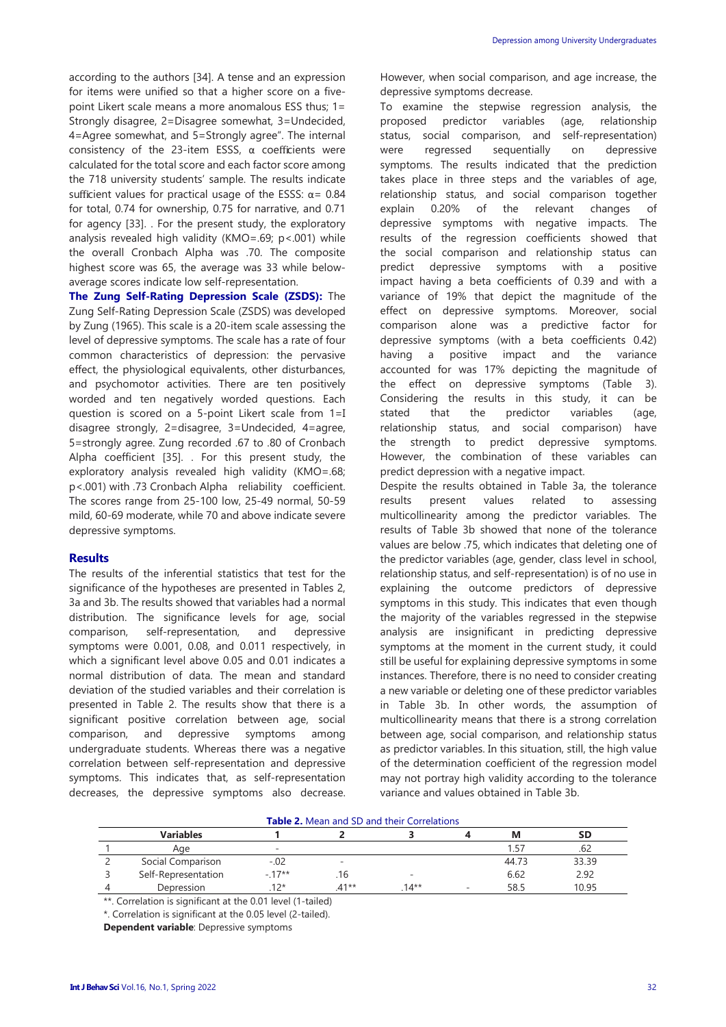according to the authors [34]. A tense and an expression for items were unified so that a higher score on a fivepoint Likert scale means a more anomalous ESS thus; 1= Strongly disagree, 2=Disagree somewhat, 3=Undecided, 4=Agree somewhat, and 5=Strongly agree". The internal consistency of the 23-item ESSS, α coefficients were calculated for the total score and each factor score among the 718 university students' sample. The results indicate sufficient values for practical usage of the ESSS:  $\alpha$  = 0.84 for total, 0.74 for ownership, 0.75 for narrative, and 0.71 for agency [33]. . For the present study, the exploratory analysis revealed high validity (KMO=.69; p<.001) while the overall Cronbach Alpha was .70. The composite highest score was 65, the average was 33 while belowaverage scores indicate low self-representation.

**The Zung Self-Rating Depression Scale (ZSDS):** The Zung Self-Rating Depression Scale (ZSDS) was developed by Zung (1965). This scale is a 20-item scale assessing the level of depressive symptoms. The scale has a rate of four common characteristics of depression: the pervasive effect, the physiological equivalents, other disturbances, and psychomotor activities. There are ten positively worded and ten negatively worded questions. Each question is scored on a 5-point Likert scale from 1=I disagree strongly, 2=disagree, 3=Undecided, 4=agree, 5=strongly agree. Zung recorded .67 to .80 of Cronbach Alpha coefficient [35]. . For this present study, the exploratory analysis revealed high validity (KMO=.68; p<.001) with .73 Cronbach Alpha reliability coefficient. The scores range from 25-100 low, 25-49 normal, 50-59 mild, 60-69 moderate, while 70 and above indicate severe depressive symptoms.

# **Results**

The results of the inferential statistics that test for the significance of the hypotheses are presented in Tables 2, 3a and 3b. The results showed that variables had a normal distribution. The significance levels for age, social comparison, self-representation, and depressive symptoms were 0.001, 0.08, and 0.011 respectively, in which a significant level above 0.05 and 0.01 indicates a normal distribution of data. The mean and standard deviation of the studied variables and their correlation is presented in Table 2. The results show that there is a significant positive correlation between age, social comparison, and depressive symptoms among undergraduate students. Whereas there was a negative correlation between self-representation and depressive symptoms. This indicates that, as self-representation decreases, the depressive symptoms also decrease. However, when social comparison, and age increase, the depressive symptoms decrease.

To examine the stepwise regression analysis, the proposed predictor variables (age, relationship status, social comparison, and self-representation) were regressed sequentially on depressive symptoms. The results indicated that the prediction takes place in three steps and the variables of age, relationship status, and social comparison together explain 0.20% of the relevant changes of depressive symptoms with negative impacts. The results of the regression coefficients showed that the social comparison and relationship status can predict depressive symptoms with a positive impact having a beta coefficients of 0.39 and with a variance of 19% that depict the magnitude of the effect on depressive symptoms. Moreover, social comparison alone was a predictive factor for depressive symptoms (with a beta coefficients 0.42) having a positive impact and the variance accounted for was 17% depicting the magnitude of the effect on depressive symptoms (Table 3). Considering the results in this study, it can be stated that the predictor variables (age, relationship status, and social comparison) have the strength to predict depressive symptoms. However, the combination of these variables can predict depression with a negative impact.

Despite the results obtained in Table 3a, the tolerance results present values related to assessing multicollinearity among the predictor variables. The results of Table 3b showed that none of the tolerance values are below .75, which indicates that deleting one of the predictor variables (age, gender, class level in school, relationship status, and self-representation) is of no use in explaining the outcome predictors of depressive symptoms in this study. This indicates that even though the majority of the variables regressed in the stepwise analysis are insignificant in predicting depressive symptoms at the moment in the current study, it could still be useful for explaining depressive symptoms in some instances. Therefore, there is no need to consider creating a new variable or deleting one of these predictor variables in Table 3b. In other words, the assumption of multicollinearity means that there is a strong correlation between age, social comparison, and relationship status as predictor variables. In this situation, still, the high value of the determination coefficient of the regression model may not portray high validity according to the tolerance variance and values obtained in Table 3b.

#### **Table 2.** Mean and SD and their Correlations

| <b>Variables</b>    |        |         |                          | M     | SD    |
|---------------------|--------|---------|--------------------------|-------|-------|
| Age                 | $\sim$ |         |                          | 157   | ـ∂0.  |
| Social Comparison   | $-.02$ | $\sim$  |                          | 44.73 | 33.39 |
| Self-Representation | - 17** | . 16    | $\overline{\phantom{a}}$ | 6.62  | 2.92  |
| Depression          | 1つ*    | $.41**$ | $14**$                   | 58.5  | 10.95 |

\*\*. Correlation is significant at the 0.01 level (1-tailed)

\*. Correlation is significant at the 0.05 level (2-tailed).

**Dependent variable**: Depressive symptoms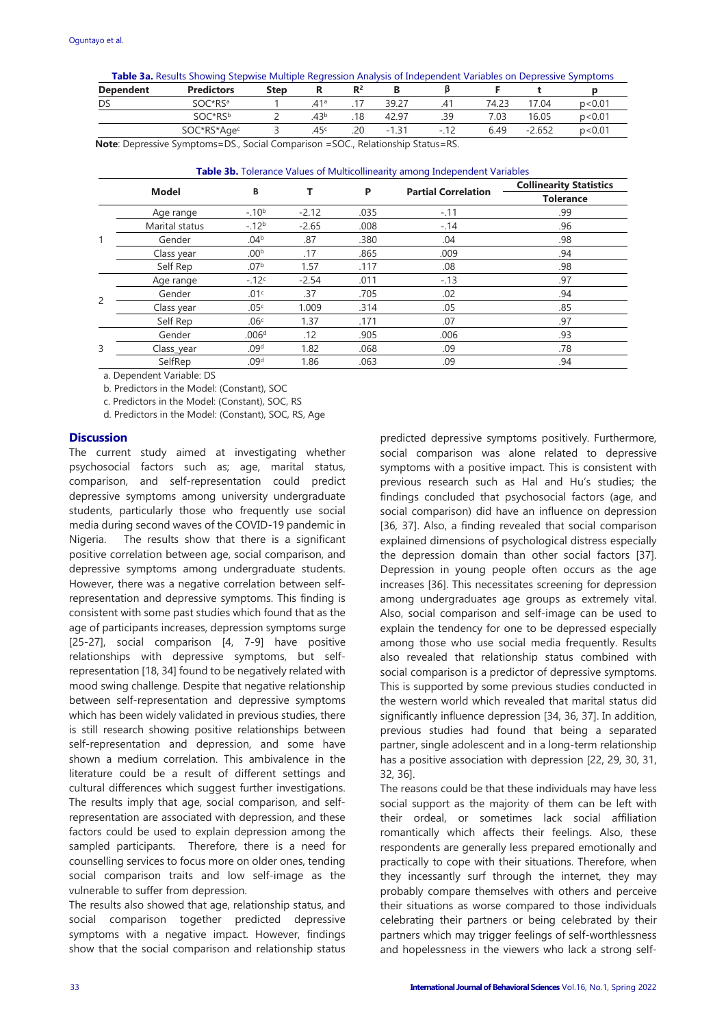|  |  | <b>Table 3a.</b> Results Showing Stepwise Multiple Regression Analysis of Independent Variables on Depressive Symptoms |  |
|--|--|------------------------------------------------------------------------------------------------------------------------|--|
|  |  |                                                                                                                        |  |

| <b>Dependent</b>                                                      | <b>Predictors</b> | Step |                  | $R^2$ |         |      |       |          |        |
|-----------------------------------------------------------------------|-------------------|------|------------------|-------|---------|------|-------|----------|--------|
| DS                                                                    | iOC*RSª           |      | 41ª              |       | 39.27   |      | 74.23 | '7.04    | p<0.01 |
|                                                                       | SOC*RSb           |      | .43 <sup>b</sup> | 18    | 42.97   | .39  | .03   | 16.05    | p<0.01 |
|                                                                       | SOC*RS*Agec       |      | 45 <sup>c</sup>  | .20   | $-1.31$ | - 1  | 6.49  | $-2.652$ | p<0.01 |
| the company's company's company's<br>commercial contracts of the con- | ______            |      |                  |       | .       | ____ |       |          |        |

**Note**: Depressive Symptoms=DS., Social Comparison =SOC., Relationship Status=RS.

**Table 3b.** Tolerance Values of Multicollinearity among Independent Variables

|   |                |                   |         | P    |                            | <b>Collinearity Statistics</b> |  |
|---|----------------|-------------------|---------|------|----------------------------|--------------------------------|--|
|   | <b>Model</b>   | В                 |         |      | <b>Partial Correlation</b> | <b>Tolerance</b>               |  |
|   | Age range      | $-.10b$           | $-2.12$ | .035 | $-.11$                     | .99                            |  |
|   | Marital status | $-.12b$           | $-2.65$ | .008 | $-.14$                     | .96                            |  |
| 1 | Gender         | .04 <sup>b</sup>  | .87     | .380 | .04                        | .98                            |  |
|   | Class year     | .00 <sup>b</sup>  | .17     | .865 | .009                       | .94                            |  |
|   | Self Rep       | .07 <sup>b</sup>  | 1.57    | .117 | .08                        | .98                            |  |
| 2 | Age range      | $-12c$            | $-2.54$ | .011 | $-.13$                     | .97                            |  |
|   | Gender         | .01 <sup>c</sup>  | .37     | .705 | .02                        | .94                            |  |
|   | Class year     | .05 <sup>c</sup>  | 1.009   | .314 | .05                        | .85                            |  |
|   | Self Rep       | .06c              | 1.37    | .171 | .07                        | .97                            |  |
| 3 | Gender         | .006 <sup>d</sup> | .12     | .905 | .006                       | .93                            |  |
|   | Class_year     | .09 <sup>d</sup>  | 1.82    | .068 | .09                        | .78                            |  |
|   | SelfRep        | .09 <sup>d</sup>  | 1.86    | .063 | .09                        | .94                            |  |

a. Dependent Variable: DS

b. Predictors in the Model: (Constant), SOC

c. Predictors in the Model: (Constant), SOC, RS

d. Predictors in the Model: (Constant), SOC, RS, Age

# **Discussion**

The current study aimed at investigating whether psychosocial factors such as; age, marital status, comparison, and self-representation could predict depressive symptoms among university undergraduate students, particularly those who frequently use social media during second waves of the COVID-19 pandemic in Nigeria. The results show that there is a significant positive correlation between age, social comparison, and depressive symptoms among undergraduate students. However, there was a negative correlation between selfrepresentation and depressive symptoms. This finding is consistent with some past studies which found that as the age of participants increases, depression symptoms surge [25-27], social comparison [4, 7-9] have positive relationships with depressive symptoms, but selfrepresentation [18, 34] found to be negatively related with mood swing challenge. Despite that negative relationship between self-representation and depressive symptoms which has been widely validated in previous studies, there is still research showing positive relationships between self-representation and depression, and some have shown a medium correlation. This ambivalence in the literature could be a result of different settings and cultural differences which suggest further investigations. The results imply that age, social comparison, and selfrepresentation are associated with depression, and these factors could be used to explain depression among the sampled participants. Therefore, there is a need for counselling services to focus more on older ones, tending social comparison traits and low self-image as the vulnerable to suffer from depression.

The results also showed that age, relationship status, and social comparison together predicted depressive symptoms with a negative impact. However, findings show that the social comparison and relationship status predicted depressive symptoms positively. Furthermore, social comparison was alone related to depressive symptoms with a positive impact. This is consistent with previous research such as Hal and Hu's studies; the findings concluded that psychosocial factors (age, and social comparison) did have an influence on depression [36, 37]. Also, a finding revealed that social comparison explained dimensions of psychological distress especially the depression domain than other social factors [37]. Depression in young people often occurs as the age increases [36]. This necessitates screening for depression among undergraduates age groups as extremely vital. Also, social comparison and self-image can be used to explain the tendency for one to be depressed especially among those who use social media frequently. Results also revealed that relationship status combined with social comparison is a predictor of depressive symptoms. This is supported by some previous studies conducted in the western world which revealed that marital status did significantly influence depression [34, 36, 37]. In addition, previous studies had found that being a separated partner, single adolescent and in a long-term relationship has a positive association with depression [22, 29, 30, 31, 32, 36].

The reasons could be that these individuals may have less social support as the majority of them can be left with their ordeal, or sometimes lack social affiliation romantically which affects their feelings. Also, these respondents are generally less prepared emotionally and practically to cope with their situations. Therefore, when they incessantly surf through the internet, they may probably compare themselves with others and perceive their situations as worse compared to those individuals celebrating their partners or being celebrated by their partners which may trigger feelings of self-worthlessness and hopelessness in the viewers who lack a strong self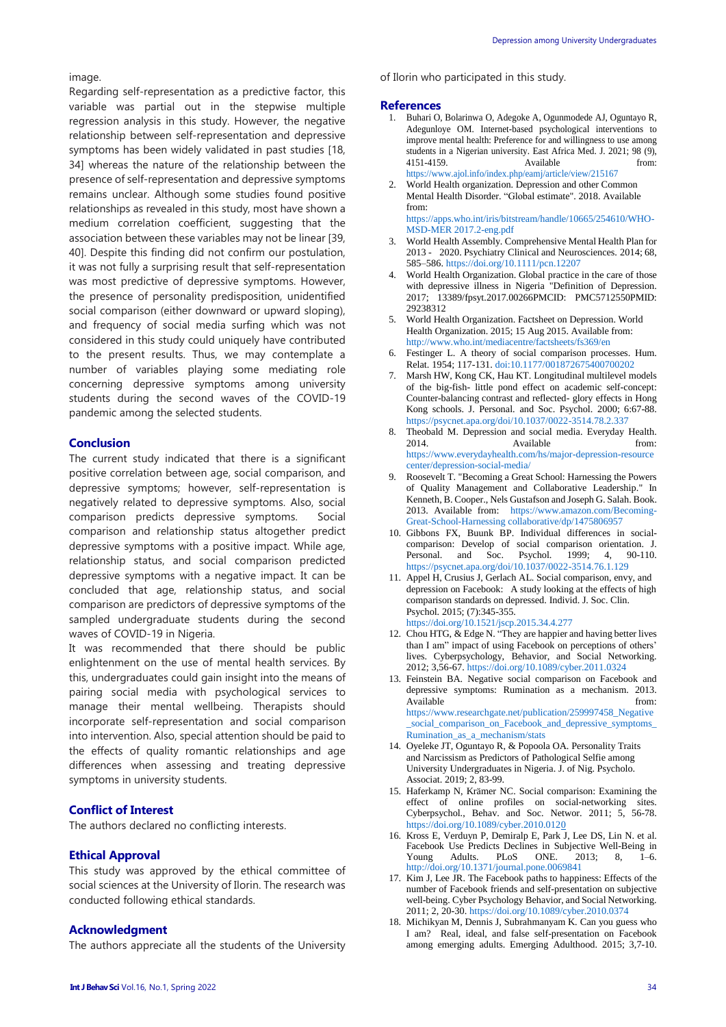image.

Regarding self-representation as a predictive factor, this variable was partial out in the stepwise multiple regression analysis in this study. However, the negative relationship between self-representation and depressive symptoms has been widely validated in past studies [18, 34] whereas the nature of the relationship between the presence of self-representation and depressive symptoms remains unclear. Although some studies found positive relationships as revealed in this study, most have shown a medium correlation coefficient, suggesting that the association between these variables may not be linear [39, 40]. Despite this finding did not confirm our postulation, it was not fully a surprising result that self-representation was most predictive of depressive symptoms. However, the presence of personality predisposition, unidentified social comparison (either downward or upward sloping), and frequency of social media surfing which was not considered in this study could uniquely have contributed to the present results. Thus, we may contemplate a number of variables playing some mediating role concerning depressive symptoms among university students during the second waves of the COVID-19 pandemic among the selected students.

#### **Conclusion**

The current study indicated that there is a significant positive correlation between age, social comparison, and depressive symptoms; however, self-representation is negatively related to depressive symptoms. Also, social comparison predicts depressive symptoms. Social comparison and relationship status altogether predict depressive symptoms with a positive impact. While age, relationship status, and social comparison predicted depressive symptoms with a negative impact. It can be concluded that age, relationship status, and social comparison are predictors of depressive symptoms of the sampled undergraduate students during the second waves of COVID-19 in Nigeria.

It was recommended that there should be public enlightenment on the use of mental health services. By this, undergraduates could gain insight into the means of pairing social media with psychological services to manage their mental wellbeing. Therapists should incorporate self-representation and social comparison into intervention. Also, special attention should be paid to the effects of quality romantic relationships and age differences when assessing and treating depressive symptoms in university students.

#### **Conflict of Interest**

The authors declared no conflicting interests.

#### **Ethical Approval**

This study was approved by the ethical committee of social sciences at the University of Ilorin. The research was conducted following ethical standards.

#### **Acknowledgment**

The authors appreciate all the students of the University

of Ilorin who participated in this study.

#### **References**

- 1. Buhari O, Bolarinwa O, Adegoke A, Ogunmodede AJ, Oguntayo R, Adegunloye OM. Internet-based psychological interventions to improve mental health: Preference for and willingness to use among students in a Nigerian university. East Africa Med. J. 2021; 98 (9), 4151-4159. Available from: <https://www.ajol.info/index.php/eamj/article/view/215167>
- 2. World Health organization. Depression and other Common Mental Health Disorder. "Global estimate". 2018. Available from:

[https://apps.who.int/iris/bitstream/handle/10665/254610/WHO-](https://apps.who.int/iris/bitstream/handle/10665/254610/WHO-MSD-MER%202017.2-eng.pdf)MSD-MER [2017.2-eng.pdf](https://apps.who.int/iris/bitstream/handle/10665/254610/WHO-MSD-MER%202017.2-eng.pdf)

- 3. World Health Assembly. Comprehensive Mental Health Plan for 2013 - 2020. Psychiatry Clinical and Neurosciences. 2014; 68, 585–586. <https://doi.org/10.1111/pcn.12207>
- 4. World Health Organization. Global practice in the care of those with depressive illness in Nigeria "Definition of Depression. 2017; 13389/fpsyt.2017.00266PMCID: PMC5712550PMID: 29238312
- 5. World Health Organization. Factsheet on Depression. World Health Organization. 2015; 15 Aug 2015. Available from: <http://www.who.int/mediacentre/factsheets/fs369/en>
- 6. Festinger L. A theory of social comparison processes. Hum. Relat. 1954; 117-131. do[i:10.1177/001872675400700202](https://doi.org/10.1177/001872675400700202)
- 7. Marsh HW, Kong CK, Hau KT. Longitudinal multilevel models of the big-fish- little pond effect on academic self-concept: Counter-balancing contrast and reflected- glory effects in Hong Kong schools. J. Personal. and Soc. Psychol. 2000; 6:67-88. <https://psycnet.apa.org/doi/10.1037/0022-3514.78.2.337>
- 8. Theobald M. Depression and social media. Everyday Health. 2014. Available **Available** from: [https://www.everydayhealth.com/hs/major-depression-resource](https://www.everydayhealth.com/hs/major-depression-resource%20center/depression-social-media/) [center/depression-social-media/](https://www.everydayhealth.com/hs/major-depression-resource%20center/depression-social-media/)
- 9. Roosevelt T. "Becoming a Great School: Harnessing the Powers of Quality Management and Collaborative Leadership." In Kenneth, B. Cooper., Nels Gustafson and Joseph G. Salah. Book. 2013. Available from: [https://www.amazon.com/Becoming-](https://www.amazon.com/Becoming-Great-School-Harnessing%20collaborative/dp/1475806957)Great-School-Harnessing [collaborative/dp/1475806957](https://www.amazon.com/Becoming-Great-School-Harnessing%20collaborative/dp/1475806957)
- 10. Gibbons FX, Buunk BP. Individual differences in socialcomparison: Develop of social comparison orientation. J.<br>Personal. and Soc. Psychol. 1999: 4, 90-110. Personal. and Soc. Psychol. 1999; 4, 90-110. <https://psycnet.apa.org/doi/10.1037/0022-3514.76.1.129>
- 11. Appel H, Crusius J, Gerlach AL. Social comparison, envy, and depression on Facebook: A study looking at the effects of high comparison standards on depressed. Individ. J. Soc. Clin. Psychol. 2015; (7):345-355. <https://doi.org/10.1521/jscp.2015.34.4.277>
- 12. Chou HTG, & Edge N. "They are happier and having better lives than I am" impact of using Facebook on perceptions of others' lives. Cyberpsychology, Behavior, and Social Networking. 2012; 3,56-67. <https://doi.org/10.1089/cyber.2011.0324>
- 13. Feinstein BA. Negative social comparison on Facebook and depressive symptoms: Rumination as a mechanism. 2013. Available from: [https://www.researchgate.net/publication/259997458\\_Negative](https://www.researchgate.net/publication/259997458_Negative_social_comparison_on_Facebook_and_depressive_symptoms_Rumination_as_a_mechanism/stats) [\\_social\\_comparison\\_on\\_Facebook\\_and\\_depressive\\_symptoms\\_](https://www.researchgate.net/publication/259997458_Negative_social_comparison_on_Facebook_and_depressive_symptoms_Rumination_as_a_mechanism/stats) [Rumination\\_as\\_a\\_mechanism/stats](https://www.researchgate.net/publication/259997458_Negative_social_comparison_on_Facebook_and_depressive_symptoms_Rumination_as_a_mechanism/stats)
- 14. Oyeleke JT, Oguntayo R, & Popoola OA. Personality Traits and Narcissism as Predictors of Pathological Selfie among University Undergraduates in Nigeria. J. of Nig. Psycholo. Associat. 2019; 2, 83-99.
- 15. Haferkamp N, Krämer NC. Social comparison: Examining the effect of online profiles on social-networking sites. Cyberpsychol., Behav. and Soc. Networ. 2011; 5, 56-78. <https://doi.org/10.1089/cyber.2010.0120>
- 16. Kross E, Verduyn P, Demiralp E, Park J, Lee DS, Lin N. et al. Facebook Use Predicts Declines in Subjective Well-Being in Young Adults. PLoS ONE. 2013; 8, 1–6. http://doi.org/10.1371/journal.pone.0069841
- 17. Kim J, Lee JR. The Facebook paths to happiness: Effects of the number of Facebook friends and self-presentation on subjective well-being. Cyber Psychology Behavior, and Social Networking. 2011; 2, 20-30. <https://doi.org/10.1089/cyber.2010.0374>
- 18. Michikyan M, Dennis J, Subrahmanyam K. Can you guess who I am? Real, ideal, and false self-presentation on Facebook among emerging adults. Emerging Adulthood. 2015; 3,7-10.